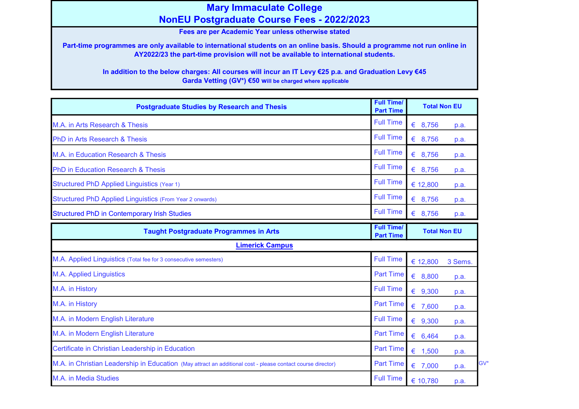## Mary Immaculate College NonEU Postgraduate Course Fees - 2022/2023

Fees are per Academic Year unless otherwise stated

Part-time programmes are only available to international students on an online basis. Should a programme not run online in AY2022/23 the part-time provision will not be available to international students.

In addition to the below charges: All courses will incur an IT Levy €25 p.a. and Graduation Levy €45 Garda Vetting (GV\*) €50 will be charged where applicable

| <b>Postgraduate Studies by Research and Thesis</b>                                                          | <b>Full Time/</b><br><b>Part Time</b> | <b>Total Non EU</b> |             |
|-------------------------------------------------------------------------------------------------------------|---------------------------------------|---------------------|-------------|
| M.A. in Arts Research & Thesis                                                                              | <b>Full Time</b>                      | 68,756              | p.a.        |
| <b>PhD in Arts Research &amp; Thesis</b>                                                                    | <b>Full Time</b>                      | € 8,756             | p.a.        |
| M.A. in Education Research & Thesis                                                                         | <b>Full Time</b>                      | € 8,756             | p.a.        |
| <b>PhD in Education Research &amp; Thesis</b>                                                               | <b>Full Time</b>                      | € 8,756             | p.a.        |
| <b>Structured PhD Applied Linguistics (Year 1)</b>                                                          | <b>Full Time</b>                      | € 12,800            | p.a.        |
| <b>Structured PhD Applied Linguistics (From Year 2 onwards)</b>                                             | <b>Full Time</b>                      | € 8,756             | p.a.        |
| <b>Structured PhD in Contemporary Irish Studies</b>                                                         | <b>Full Time</b>                      | 68,756              | p.a.        |
| <b>Taught Postgraduate Programmes in Arts</b>                                                               | <b>Full Time/</b><br><b>Part Time</b> | <b>Total Non EU</b> |             |
| <b>Limerick Campus</b>                                                                                      |                                       |                     |             |
| M.A. Applied Linguistics (Total fee for 3 consecutive semesters)                                            | <b>Full Time</b>                      | € 12,800            | 3 Sems.     |
| <b>M.A. Applied Linguistics</b>                                                                             | <b>Part Time</b>                      | € 8,800             | p.a.        |
| M.A. in History                                                                                             | <b>Full Time</b>                      | € $9,300$           | p.a.        |
| M.A. in History                                                                                             | <b>Part Time</b>                      | € 7,600             | p.a.        |
| M.A. in Modern English Literature                                                                           | <b>Full Time</b>                      | € 9,300             | p.a.        |
| M.A. in Modern English Literature                                                                           | <b>Part Time</b>                      | 6,464               | p.a.        |
| Certificate in Christian Leadership in Education                                                            | <b>Part Time</b>                      | €<br>1,500          | p.a.        |
| M.A. in Christian Leadership in Education (May attract an additional cost - please contact course director) | <b>Part Time</b>                      | € 7,000             | GV*<br>p.a. |
| M.A. in Media Studies                                                                                       | <b>Full Time</b>                      | € 10,780            | p.a.        |